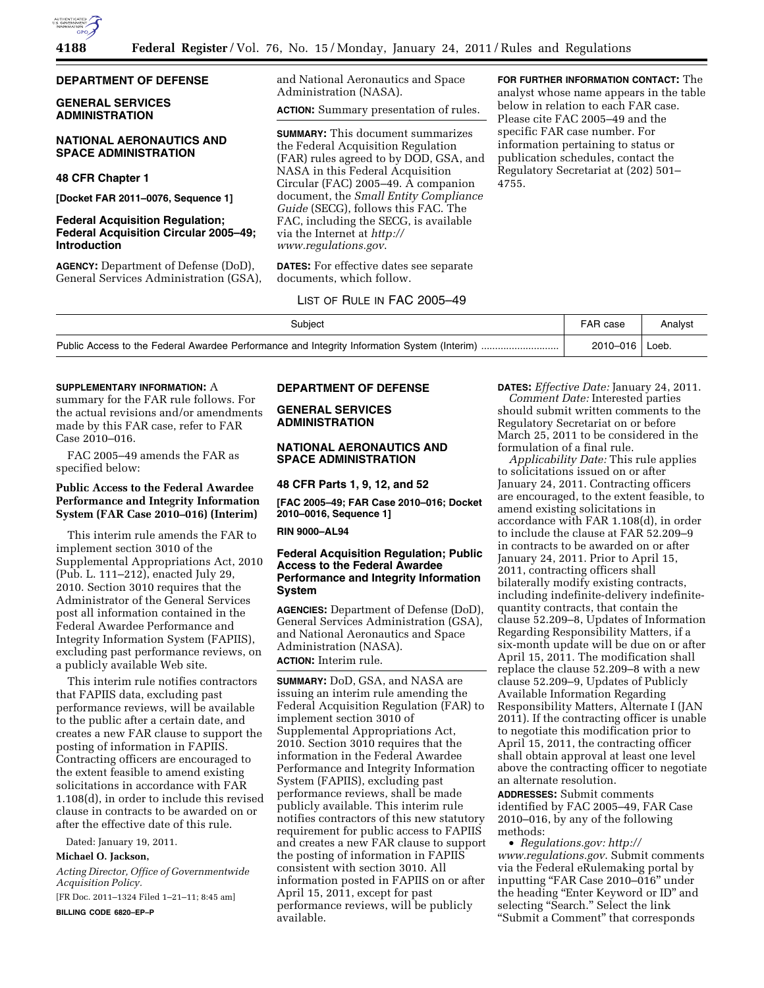

## **DEPARTMENT OF DEFENSE**

## **GENERAL SERVICES ADMINISTRATION**

## **NATIONAL AERONAUTICS AND SPACE ADMINISTRATION**

# **48 CFR Chapter 1**

**[Docket FAR 2011–0076, Sequence 1]** 

## **Federal Acquisition Regulation; Federal Acquisition Circular 2005–49; Introduction**

**AGENCY:** Department of Defense (DoD), General Services Administration (GSA), and National Aeronautics and Space Administration (NASA).

**ACTION:** Summary presentation of rules.

**SUMMARY:** This document summarizes the Federal Acquisition Regulation (FAR) rules agreed to by DOD, GSA, and NASA in this Federal Acquisition Circular (FAC) 2005–49. A companion document, the *Small Entity Compliance Guide* (SECG), follows this FAC. The FAC, including the SECG, is available via the Internet at *[http://](http://www.regulations.gov)  [www.regulations.gov](http://www.regulations.gov)*.

**DATES:** For effective dates see separate documents, which follow.

**FOR FURTHER INFORMATION CONTACT:** The analyst whose name appears in the table below in relation to each FAR case. Please cite FAC 2005–49 and the specific FAR case number. For information pertaining to status or publication schedules, contact the Regulatory Secretariat at (202) 501– 4755.

### LIST OF RULE IN FAC 2005–49

| Subiect | FAR case | Analyst |
|---------|----------|---------|
|         | 2010-016 | Loeb.   |

#### **SUPPLEMENTARY INFORMATION:** A

summary for the FAR rule follows. For the actual revisions and/or amendments made by this FAR case, refer to FAR Case 2010–016.

FAC 2005–49 amends the FAR as specified below:

## **Public Access to the Federal Awardee Performance and Integrity Information System (FAR Case 2010–016) (Interim)**

This interim rule amends the FAR to implement section 3010 of the Supplemental Appropriations Act, 2010 (Pub. L. 111–212), enacted July 29, 2010. Section 3010 requires that the Administrator of the General Services post all information contained in the Federal Awardee Performance and Integrity Information System (FAPIIS), excluding past performance reviews, on a publicly available Web site.

This interim rule notifies contractors that FAPIIS data, excluding past performance reviews, will be available to the public after a certain date, and creates a new FAR clause to support the posting of information in FAPIIS. Contracting officers are encouraged to the extent feasible to amend existing solicitations in accordance with FAR 1.108(d), in order to include this revised clause in contracts to be awarded on or after the effective date of this rule.

Dated: January 19, 2011.

## **Michael O. Jackson,**

*Acting Director, Office of Governmentwide Acquisition Policy.* 

[FR Doc. 2011–1324 Filed 1–21–11; 8:45 am] **BILLING CODE 6820–EP–P** 

### **DEPARTMENT OF DEFENSE**

**GENERAL SERVICES ADMINISTRATION** 

## **NATIONAL AERONAUTICS AND SPACE ADMINISTRATION**

**48 CFR Parts 1, 9, 12, and 52** 

**[FAC 2005–49; FAR Case 2010–016; Docket 2010–0016, Sequence 1]** 

**RIN 9000–AL94** 

## **Federal Acquisition Regulation; Public Access to the Federal Awardee Performance and Integrity Information System**

**AGENCIES:** Department of Defense (DoD), General Services Administration (GSA), and National Aeronautics and Space Administration (NASA). **ACTION:** Interim rule.

**SUMMARY:** DoD, GSA, and NASA are issuing an interim rule amending the Federal Acquisition Regulation (FAR) to implement section 3010 of Supplemental Appropriations Act, 2010. Section 3010 requires that the information in the Federal Awardee Performance and Integrity Information System (FAPIIS), excluding past performance reviews, shall be made publicly available. This interim rule notifies contractors of this new statutory requirement for public access to FAPIIS and creates a new FAR clause to support the posting of information in FAPIIS consistent with section 3010. All information posted in FAPIIS on or after April 15, 2011, except for past performance reviews, will be publicly available.

**DATES:** *Effective Date:* January 24, 2011.

*Comment Date:* Interested parties should submit written comments to the Regulatory Secretariat on or before March 25, 2011 to be considered in the formulation of a final rule.

*Applicability Date:* This rule applies to solicitations issued on or after January 24, 2011. Contracting officers are encouraged, to the extent feasible, to amend existing solicitations in accordance with FAR 1.108(d), in order to include the clause at FAR 52.209–9 in contracts to be awarded on or after January 24, 2011. Prior to April 15, 2011, contracting officers shall bilaterally modify existing contracts, including indefinite-delivery indefinitequantity contracts, that contain the clause 52.209–8, Updates of Information Regarding Responsibility Matters, if a six-month update will be due on or after April 15, 2011. The modification shall replace the clause 52.209–8 with a new clause 52.209–9, Updates of Publicly Available Information Regarding Responsibility Matters, Alternate I (JAN 2011). If the contracting officer is unable to negotiate this modification prior to April 15, 2011, the contracting officer shall obtain approval at least one level above the contracting officer to negotiate an alternate resolution.

**ADDRESSES:** Submit comments identified by FAC 2005–49, FAR Case 2010–016, by any of the following methods:

• *Regulations.gov: [http://](http://www.regulations.gov)  [www.regulations.gov](http://www.regulations.gov)*. Submit comments via the Federal eRulemaking portal by inputting "FAR Case 2010-016" under the heading "Enter Keyword or ID" and selecting "Search." Select the link ''Submit a Comment'' that corresponds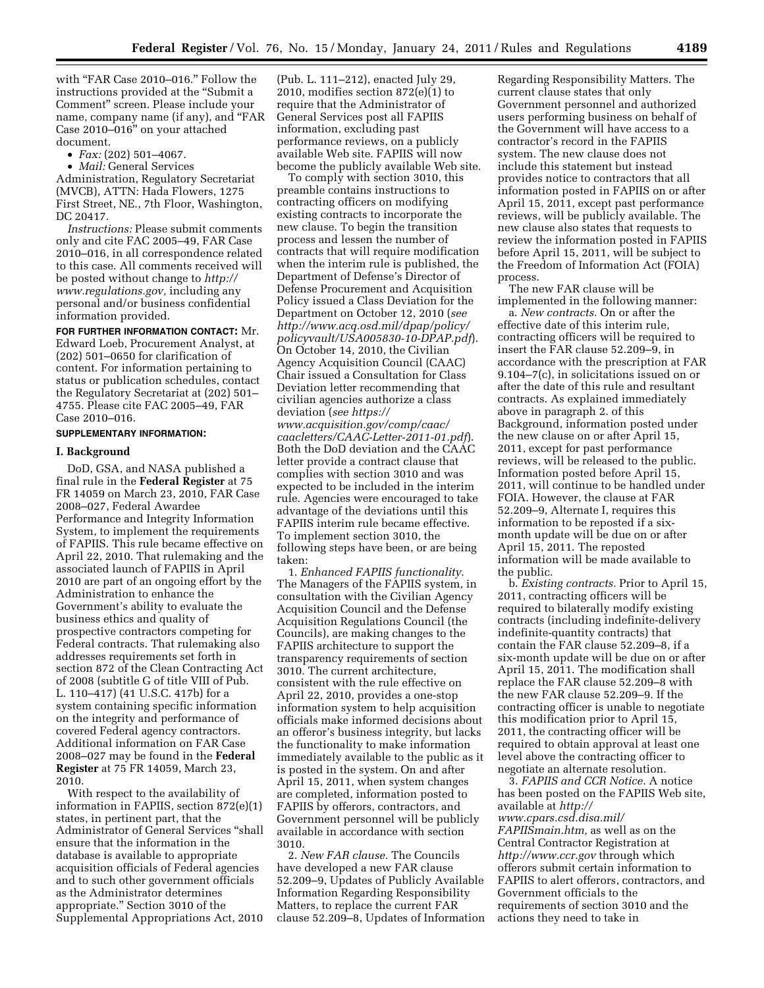with "FAR Case 2010-016." Follow the instructions provided at the ''Submit a Comment'' screen. Please include your name, company name (if any), and "FAR Case 2010–016'' on your attached document.

• *Fax:* (202) 501–4067.

• *Mail:* General Services Administration, Regulatory Secretariat (MVCB), ATTN: Hada Flowers, 1275 First Street, NE., 7th Floor, Washington, DC 20417.

*Instructions:* Please submit comments only and cite FAC 2005–49, FAR Case 2010–016, in all correspondence related to this case. All comments received will be posted without change to *[http://](http://www.regulations.gov) [www.regulations.gov,](http://www.regulations.gov)* including any personal and/or business confidential information provided.

**FOR FURTHER INFORMATION CONTACT:** Mr. Edward Loeb, Procurement Analyst, at (202) 501–0650 for clarification of content. For information pertaining to status or publication schedules, contact the Regulatory Secretariat at (202) 501– 4755. Please cite FAC 2005–49, FAR Case 2010–016.

#### **SUPPLEMENTARY INFORMATION:**

#### **I. Background**

DoD, GSA, and NASA published a final rule in the **Federal Register** at 75 FR 14059 on March 23, 2010, FAR Case 2008–027, Federal Awardee Performance and Integrity Information System, to implement the requirements of FAPIIS. This rule became effective on April 22, 2010. That rulemaking and the associated launch of FAPIIS in April 2010 are part of an ongoing effort by the Administration to enhance the Government's ability to evaluate the business ethics and quality of prospective contractors competing for Federal contracts. That rulemaking also addresses requirements set forth in section 872 of the Clean Contracting Act of 2008 (subtitle G of title VIII of Pub. L. 110–417) (41 U.S.C. 417b) for a system containing specific information on the integrity and performance of covered Federal agency contractors. Additional information on FAR Case 2008–027 may be found in the **Federal Register** at 75 FR 14059, March 23, 2010.

With respect to the availability of information in FAPIIS, section 872(e)(1) states, in pertinent part, that the Administrator of General Services ''shall ensure that the information in the database is available to appropriate acquisition officials of Federal agencies and to such other government officials as the Administrator determines appropriate.'' Section 3010 of the Supplemental Appropriations Act, 2010

(Pub. L. 111–212), enacted July 29, 2010, modifies section 872(e)(1) to require that the Administrator of General Services post all FAPIIS information, excluding past performance reviews, on a publicly available Web site. FAPIIS will now become the publicly available Web site.

To comply with section 3010, this preamble contains instructions to contracting officers on modifying existing contracts to incorporate the new clause. To begin the transition process and lessen the number of contracts that will require modification when the interim rule is published, the Department of Defense's Director of Defense Procurement and Acquisition Policy issued a Class Deviation for the Department on October 12, 2010 (*see [http://www.acq.osd.mil/dpap/policy/](http://www.acq.osd.mil/dpap/policy/policyvault/USA005830-10-DPAP.pdf)  [policyvault/USA005830-10-DPAP.pdf](http://www.acq.osd.mil/dpap/policy/policyvault/USA005830-10-DPAP.pdf)*). On October 14, 2010, the Civilian Agency Acquisition Council (CAAC) Chair issued a Consultation for Class Deviation letter recommending that civilian agencies authorize a class deviation (*see [https://](https://www.acquisition.gov/comp/caac/caacletters/CAAC-Letter-2011-01.pdf) [www.acquisition.gov/comp/caac/](https://www.acquisition.gov/comp/caac/caacletters/CAAC-Letter-2011-01.pdf) [caacletters/CAAC-Letter-2011-01.pdf](https://www.acquisition.gov/comp/caac/caacletters/CAAC-Letter-2011-01.pdf)*). Both the DoD deviation and the CAAC letter provide a contract clause that complies with section 3010 and was expected to be included in the interim rule. Agencies were encouraged to take advantage of the deviations until this FAPIIS interim rule became effective. To implement section 3010, the following steps have been, or are being taken:

1. *Enhanced FAPIIS functionality.*  The Managers of the FAPIIS system, in consultation with the Civilian Agency Acquisition Council and the Defense Acquisition Regulations Council (the Councils), are making changes to the FAPIIS architecture to support the transparency requirements of section 3010. The current architecture, consistent with the rule effective on April 22, 2010, provides a one-stop information system to help acquisition officials make informed decisions about an offeror's business integrity, but lacks the functionality to make information immediately available to the public as it is posted in the system. On and after April 15, 2011, when system changes are completed, information posted to FAPIIS by offerors, contractors, and Government personnel will be publicly available in accordance with section 3010.

2. *New FAR clause.* The Councils have developed a new FAR clause 52.209–9, Updates of Publicly Available Information Regarding Responsibility Matters, to replace the current FAR clause 52.209–8, Updates of Information

Regarding Responsibility Matters. The current clause states that only Government personnel and authorized users performing business on behalf of the Government will have access to a contractor's record in the FAPIIS system. The new clause does not include this statement but instead provides notice to contractors that all information posted in FAPIIS on or after April 15, 2011, except past performance reviews, will be publicly available. The new clause also states that requests to review the information posted in FAPIIS before April 15, 2011, will be subject to the Freedom of Information Act (FOIA) process.

The new FAR clause will be implemented in the following manner:

a. *New contracts.* On or after the effective date of this interim rule, contracting officers will be required to insert the FAR clause 52.209–9, in accordance with the prescription at FAR 9.104–7(c), in solicitations issued on or after the date of this rule and resultant contracts. As explained immediately above in paragraph 2. of this Background, information posted under the new clause on or after April 15, 2011, except for past performance reviews, will be released to the public. Information posted before April 15, 2011, will continue to be handled under FOIA. However, the clause at FAR 52.209–9, Alternate I, requires this information to be reposted if a sixmonth update will be due on or after April 15, 2011. The reposted information will be made available to the public.

b. *Existing contracts.* Prior to April 15, 2011, contracting officers will be required to bilaterally modify existing contracts (including indefinite-delivery indefinite-quantity contracts) that contain the FAR clause 52.209–8, if a six-month update will be due on or after April 15, 2011. The modification shall replace the FAR clause 52.209–8 with the new FAR clause 52.209–9. If the contracting officer is unable to negotiate this modification prior to April 15, 2011, the contracting officer will be required to obtain approval at least one level above the contracting officer to negotiate an alternate resolution.

3. *FAPIIS and CCR Notice.* A notice has been posted on the FAPIIS Web site, available at *[http://](http://www.cpars.csd.disa.mil/FAPIISmain.htm)  [www.cpars.csd.disa.mil/](http://www.cpars.csd.disa.mil/FAPIISmain.htm)  [FAPIISmain.htm,](http://www.cpars.csd.disa.mil/FAPIISmain.htm)* as well as on the Central Contractor Registration at *<http://www.ccr.gov>*through which offerors submit certain information to FAPIIS to alert offerors, contractors, and Government officials to the requirements of section 3010 and the actions they need to take in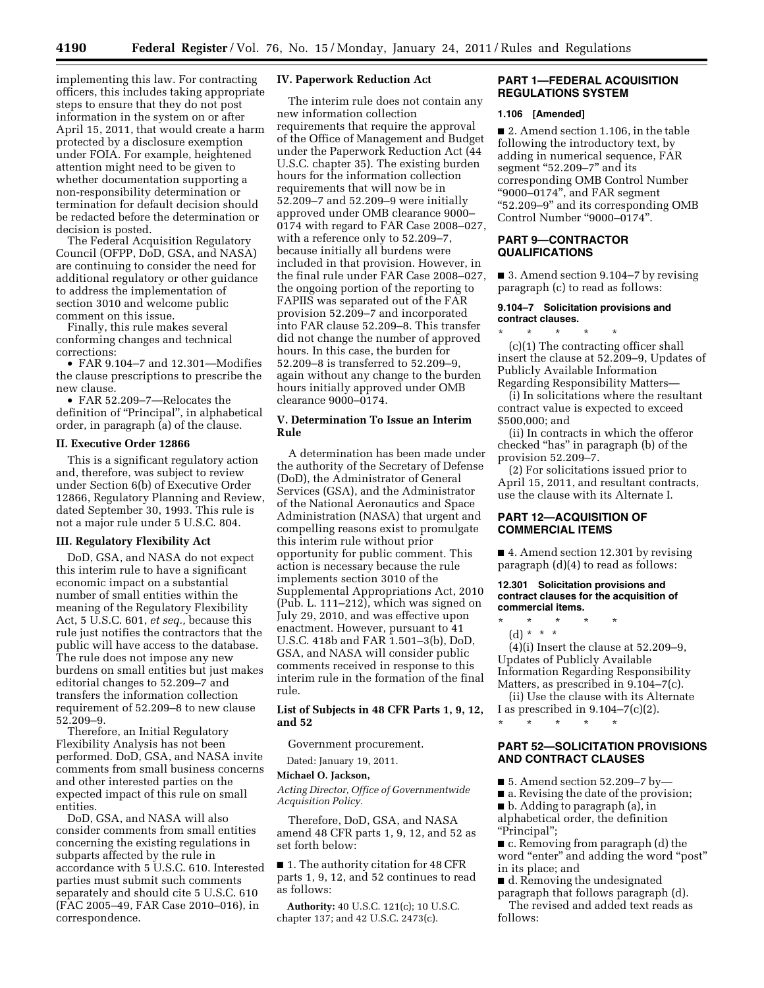implementing this law. For contracting officers, this includes taking appropriate steps to ensure that they do not post information in the system on or after April 15, 2011, that would create a harm protected by a disclosure exemption under FOIA. For example, heightened attention might need to be given to whether documentation supporting a non-responsibility determination or termination for default decision should be redacted before the determination or decision is posted.

The Federal Acquisition Regulatory Council (OFPP, DoD, GSA, and NASA) are continuing to consider the need for additional regulatory or other guidance to address the implementation of section 3010 and welcome public comment on this issue.

Finally, this rule makes several conforming changes and technical corrections:

• FAR 9.104–7 and 12.301—Modifies the clause prescriptions to prescribe the new clause.

• FAR 52.209–7—Relocates the definition of ''Principal'', in alphabetical order, in paragraph (a) of the clause.

### **II. Executive Order 12866**

This is a significant regulatory action and, therefore, was subject to review under Section 6(b) of Executive Order 12866, Regulatory Planning and Review, dated September 30, 1993. This rule is not a major rule under 5 U.S.C. 804.

#### **III. Regulatory Flexibility Act**

DoD, GSA, and NASA do not expect this interim rule to have a significant economic impact on a substantial number of small entities within the meaning of the Regulatory Flexibility Act, 5 U.S.C. 601, *et seq.,* because this rule just notifies the contractors that the public will have access to the database. The rule does not impose any new burdens on small entities but just makes editorial changes to 52.209–7 and transfers the information collection requirement of 52.209–8 to new clause 52.209–9.

Therefore, an Initial Regulatory Flexibility Analysis has not been performed. DoD, GSA, and NASA invite comments from small business concerns and other interested parties on the expected impact of this rule on small entities.

DoD, GSA, and NASA will also consider comments from small entities concerning the existing regulations in subparts affected by the rule in accordance with 5 U.S.C. 610. Interested parties must submit such comments separately and should cite 5 U.S.C. 610 (FAC 2005–49, FAR Case 2010–016), in correspondence.

### **IV. Paperwork Reduction Act**

The interim rule does not contain any new information collection requirements that require the approval of the Office of Management and Budget under the Paperwork Reduction Act (44 U.S.C. chapter 35). The existing burden hours for the information collection requirements that will now be in 52.209–7 and 52.209–9 were initially approved under OMB clearance 9000– 0174 with regard to FAR Case 2008–027, with a reference only to 52.209–7, because initially all burdens were included in that provision. However, in the final rule under FAR Case 2008–027, the ongoing portion of the reporting to FAPIIS was separated out of the FAR provision 52.209–7 and incorporated into FAR clause 52.209–8. This transfer did not change the number of approved hours. In this case, the burden for 52.209–8 is transferred to 52.209–9, again without any change to the burden hours initially approved under OMB clearance 9000–0174.

#### **V. Determination To Issue an Interim Rule**

A determination has been made under the authority of the Secretary of Defense (DoD), the Administrator of General Services (GSA), and the Administrator of the National Aeronautics and Space Administration (NASA) that urgent and compelling reasons exist to promulgate this interim rule without prior opportunity for public comment. This action is necessary because the rule implements section 3010 of the Supplemental Appropriations Act, 2010 (Pub. L. 111–212), which was signed on July 29, 2010, and was effective upon enactment. However, pursuant to 41 U.S.C. 418b and FAR 1.501–3(b), DoD, GSA, and NASA will consider public comments received in response to this interim rule in the formation of the final rule.

### **List of Subjects in 48 CFR Parts 1, 9, 12, and 52**

Government procurement.

Dated: January 19, 2011.

#### **Michael O. Jackson,**

*Acting Director, Office of Governmentwide Acquisition Policy.* 

Therefore, DoD, GSA, and NASA amend 48 CFR parts 1, 9, 12, and 52 as set forth below:

■ 1. The authority citation for 48 CFR parts 1, 9, 12, and 52 continues to read as follows:

**Authority:** 40 U.S.C. 121(c); 10 U.S.C. chapter 137; and 42 U.S.C. 2473(c).

## **PART 1—FEDERAL ACQUISITION REGULATIONS SYSTEM**

#### **1.106 [Amended]**

■ 2. Amend section 1.106, in the table following the introductory text, by adding in numerical sequence, FAR segment "52.209-7" and its corresponding OMB Control Number ''9000–0174'', and FAR segment ''52.209–9'' and its corresponding OMB Control Number "9000-0174".

## **PART 9—CONTRACTOR QUALIFICATIONS**

■ 3. Amend section 9.104–7 by revising paragraph (c) to read as follows:

## **9.104–7 Solicitation provisions and contract clauses.**

\* \* \* \* \* (c)(1) The contracting officer shall insert the clause at 52.209–9, Updates of Publicly Available Information Regarding Responsibility Matters—

(i) In solicitations where the resultant contract value is expected to exceed \$500,000; and

(ii) In contracts in which the offeror checked ''has'' in paragraph (b) of the provision 52.209–7.

(2) For solicitations issued prior to April 15, 2011, and resultant contracts, use the clause with its Alternate I.

# **PART 12—ACQUISITION OF COMMERCIAL ITEMS**

■ 4. Amend section 12.301 by revising paragraph (d)(4) to read as follows:

### **12.301 Solicitation provisions and contract clauses for the acquisition of commercial items.**

\* \* \* \* \*

(d) \* \* \*

(4)(i) Insert the clause at 52.209–9, Updates of Publicly Available Information Regarding Responsibility Matters, as prescribed in 9.104–7(c).

(ii) Use the clause with its Alternate I as prescribed in  $9.104-7(c)(2)$ .

## **PART 52—SOLICITATION PROVISIONS AND CONTRACT CLAUSES**

■ 5. Amend section 52.209-7 by-

\* \* \* \* \*

■ a. Revising the date of the provision;

■ b. Adding to paragraph (a), in alphabetical order, the definition

''Principal'';

■ c. Removing from paragraph (d) the word "enter" and adding the word "post" in its place; and

■ d. Removing the undesignated paragraph that follows paragraph (d). The revised and added text reads as follows: